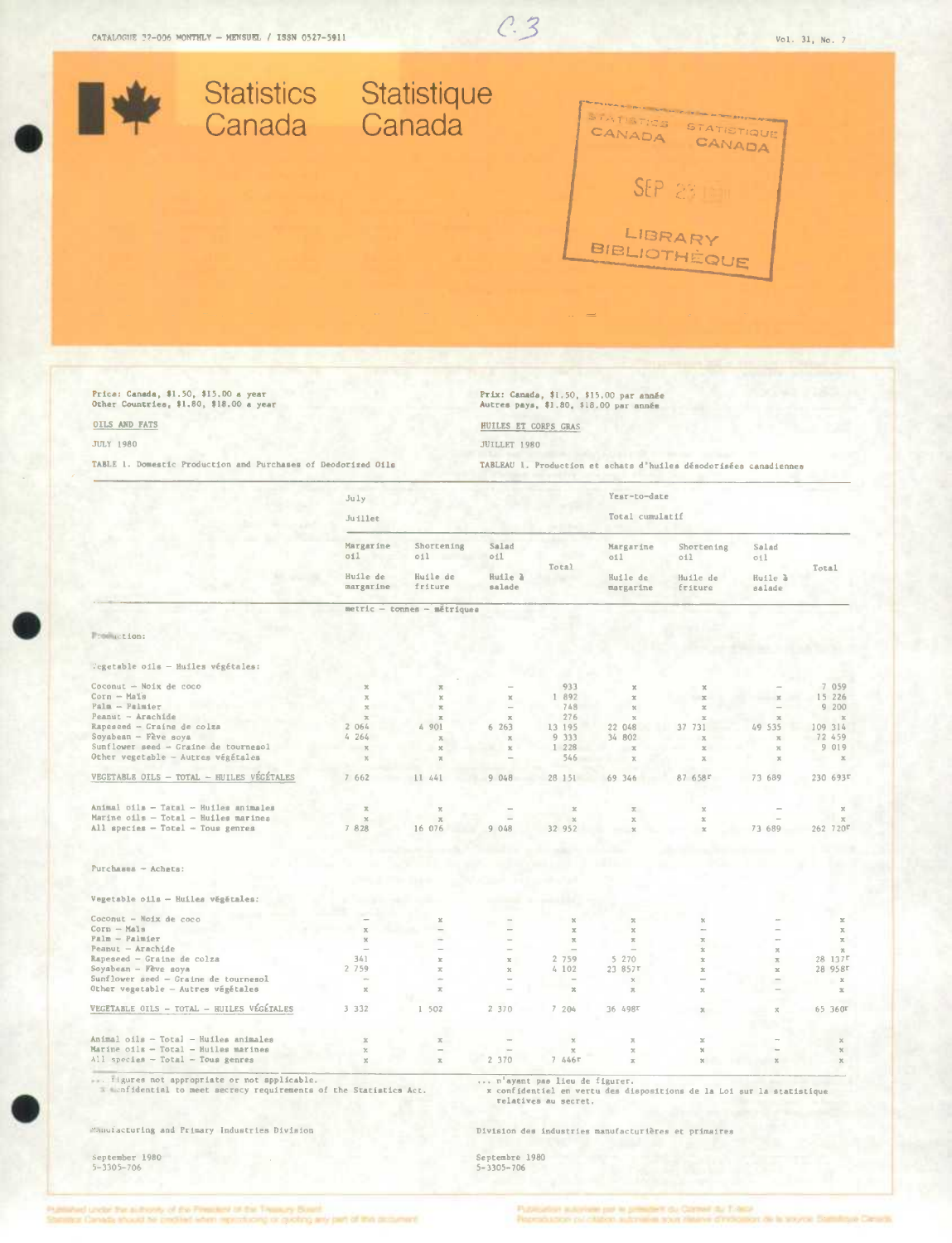# $C.3$



## Price: Canada, \$1.50, \$15.00 a year<br>Other Countries, \$1.80, \$18.00 a year

OILS AND FATS

#### **JULY 1980**

TABLE 1. Domestic Production and Purchases of Deodorized Oils

Prix: Canada, \$1.50, \$15.00 par année<br>Autres pays, \$1.80, \$18.00 par année

## HUILES ET CORPS GRAS

**JUILLET 1980** 

TABLEAU 1. Production et schats d'huiles désodorisées canadiennes

|                                                                            | July                                      |                                          |                                          |                              | Yest-to-date                                         |                                                                       |                                   |                          |
|----------------------------------------------------------------------------|-------------------------------------------|------------------------------------------|------------------------------------------|------------------------------|------------------------------------------------------|-----------------------------------------------------------------------|-----------------------------------|--------------------------|
|                                                                            | Juillet                                   |                                          |                                          |                              | Total cumulatif                                      |                                                                       |                                   |                          |
|                                                                            | Margarine<br>011<br>Huile de<br>margarine | Shortening<br>011<br>Huile de<br>friture | Salad<br>011<br>Huile <i>a</i><br>salade | Total                        | Margarine<br>oil<br>Huile de<br>margarine            | Shortening<br>011<br>Huile de<br>friture                              | Salad<br>011<br>Huile à<br>salade | Total                    |
|                                                                            |                                           |                                          |                                          |                              |                                                      |                                                                       |                                   |                          |
|                                                                            |                                           | metric - tonnes - métriques              |                                          |                              |                                                      |                                                                       |                                   |                          |
| From action:                                                               |                                           |                                          |                                          |                              |                                                      |                                                                       |                                   |                          |
| Tegetable oils - Huiles végétales:                                         |                                           |                                          |                                          |                              |                                                      |                                                                       |                                   |                          |
| Coconut - Noix de coco                                                     | $\propto$                                 | 天                                        |                                          | 933                          |                                                      |                                                                       |                                   | 7 059                    |
| Corn - Mals                                                                | $\overline{\lambda}$                      | $\chi$                                   | $\mathbbm{K}$                            | 1 892                        | 20                                                   | $\mathbbm{K}$                                                         | $\mathcal{R}$                     | 15 226                   |
| $Pala - Palmler$                                                           | $\mathcal{R}$                             | $\mathbf{x}$                             |                                          | 748                          | $\mathcal{H}$                                        | 20                                                                    |                                   | 9200                     |
| Peanut - Arachide                                                          | $\overline{\mathcal{R}}$                  | $\mathbb R$                              | $\overline{\mathcal{M}}$                 | 276                          | $\overline{\mathbf{x}}$                              | $\propto$                                                             |                                   | $\propto$                |
| Rapeseed - Graine de colza                                                 | 2 064                                     | á.<br>901                                | 6263                                     | 13 195                       | 22 048                                               | 37 731                                                                | 49 535                            | 109 314                  |
| Soyabean - Fève soya                                                       | 4264                                      | $\overline{\Lambda}$                     | $\overline{\mathcal{M}}$                 | 9 3 3 3                      | 34 802                                               | $\overline{\mathcal{H}}$                                              | $\mathbb{X}$                      | 72 459                   |
| Sunflower seed - Graine de tournesol                                       | $\mathbf{x}$                              | $\mathbf x$                              | $\mathbb{R}$                             | 1 228                        | $\alpha$                                             |                                                                       | $\mathbb{R}$                      | 9 019                    |
| Other vegetable - Autres végétales                                         | $\chi$                                    |                                          |                                          | 546                          |                                                      | $\overline{X}$                                                        | $\mathbb{R}$                      | $\mathbbm{K}$            |
| VEGETABLE OILS - TOTAL - HUILES VÉGÉTALES                                  | 7662                                      | 11 441                                   | 9 048                                    | 28 151                       | 69 346                                               | 87 658r                                                               | 73 689                            | 230 693F                 |
|                                                                            |                                           |                                          |                                          |                              |                                                      |                                                                       |                                   |                          |
| Animal oils - Tatal - Huiles animales                                      | $\mathbb{R}$                              |                                          |                                          | $\mathbf x$                  | $\mathbf x$                                          | $\chi$                                                                |                                   |                          |
| Marine oils - Total - Huiles marines                                       | 20                                        | $\mathbf x$                              |                                          | $\chi$                       | $\mathbb X$                                          | $\mathbbm{K}$                                                         |                                   | $\overline{\infty}$      |
| All species - Totel - Tous genres                                          | 7 8 2 8                                   | 16 076                                   | 9 0 48                                   | 32 952                       |                                                      | $\propto$                                                             | 73 689                            | 262 720『                 |
|                                                                            |                                           |                                          |                                          |                              |                                                      |                                                                       |                                   |                          |
| $Purchanes - Acheta$ :                                                     |                                           |                                          |                                          |                              |                                                      |                                                                       |                                   |                          |
|                                                                            |                                           |                                          |                                          |                              |                                                      |                                                                       |                                   |                          |
| Vegetable oils - Huiles végétales:                                         |                                           |                                          |                                          |                              |                                                      |                                                                       |                                   |                          |
| Coconut - Noix de coco                                                     |                                           | x                                        |                                          | $\%$                         | $\propto$                                            | x                                                                     |                                   | $\mathcal{M}$            |
| Corn - Mals                                                                | $\mathbb X$                               |                                          |                                          | $\boldsymbol{\times}$        | $\rm X$                                              | ă.                                                                    |                                   | $\mathbb X$              |
| $Palm - Palmier$                                                           | $\chi$                                    |                                          |                                          | $\mathbb{R}$                 | $\mathbb{X}$                                         | $\overline{\mathbb{R}}$                                               |                                   | $\overline{\rho}_i$      |
| $Pearu$ <sub>c</sub> $-Arachide$                                           | $\overline{\phantom{a}}$                  |                                          |                                          |                              |                                                      | x                                                                     | $\overline{\mathcal{R}}$          | $\mathbb{R}$             |
| Rapeseed - Graine de colza                                                 | 341                                       | $\mathcal{R}$                            | $\mathcal{U}_i$                          | 2 759                        | 5 270                                                | 20                                                                    | $\overline{\mathcal{R}}$          | $28$ 137 $r$             |
| Soyabean - Fève soya                                                       | 2 7 5 9<br>$\sim$                         | $\mathcal{R}$                            | $\boldsymbol{\chi}$                      | 4 102                        | 23 857r                                              | $\mathbbm{K}$<br>÷                                                    | $\mathbf{x}$                      | 28 958r                  |
| Sunflower seed - Graine de tournesol<br>Other vegetable - Autres végétales | $\rm X$                                   | $\overline{\mathcal{H}}$                 |                                          | $\mathfrak{R}$               | $\mathbf{x}$<br>$\mathbb{R}$                         | $\mathbf x$                                                           |                                   | $\rm X$<br>$\mathbbm{K}$ |
| VEGETABLE OILS - TOTAL - HUILES VÉGÉTALES                                  | 3 3 3 2                                   | 1 502                                    | 2 370                                    | 7 204                        | 36 498T                                              | 工                                                                     |                                   | 65 360F                  |
|                                                                            |                                           |                                          |                                          |                              |                                                      |                                                                       |                                   |                          |
| Animal oils - Total - Huiles animales                                      | $\mathbbm{K}$                             | $\overline{\kappa}$                      |                                          | $\chi$                       | $\overline{\mathcal{N}}$                             | ×                                                                     |                                   | $\mathbf{x}$             |
| Marine oils - Total - Huiles marines                                       | $\boldsymbol{\times}$                     |                                          |                                          |                              | $\mathbb{R}$                                         | $\%$                                                                  |                                   | $\%$                     |
| All species - Total - Tous genres                                          | $\mathbb{X}$                              | $\mathbb{R}^+$                           | 2 370                                    | 7.446r                       | $\mathbb{R}$                                         | $\%$                                                                  | $\mathbf x$                       | $\mathbf x$              |
| figures not appropriate or not spplicable.                                 |                                           |                                          |                                          | n'ayant pas lieu de figurer. |                                                      |                                                                       |                                   |                          |
| a menfidential to meet secrecy requirements of the Statistics Act.         |                                           |                                          |                                          | relatives au secret.         |                                                      | x confidentiel en vertu des dispositions de la Loi sur la statistique |                                   |                          |
| Manufacturing and Primary Industries Division                              |                                           |                                          |                                          |                              | Division des industries manufacturières et primaires |                                                                       |                                   |                          |
|                                                                            |                                           |                                          |                                          |                              |                                                      |                                                                       |                                   |                          |
| September 1980                                                             |                                           |                                          | Septembre 1980                           |                              |                                                      |                                                                       |                                   |                          |
| $5 - 3305 - 706$                                                           |                                           |                                          | $5 - 3305 - 706$                         |                              |                                                      |                                                                       |                                   |                          |

of the Financial of the Thursary Busett cusching arriv bank of this or